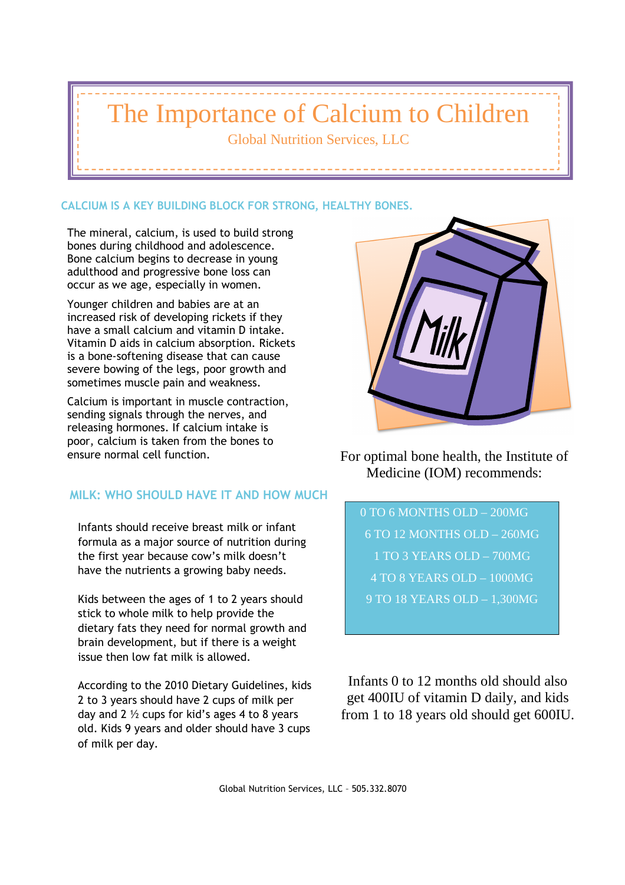# The Importance of Calcium to Children

Global Nutrition Services, LLC

### **CALCIUM IS A KEY BUILDING BLOCK FOR STRONG, HEALTHY BONES.**

The mineral, calcium, is used to build strong bones during childhood and adolescence. Bone calcium begins to decrease in young adulthood and progressive bone loss can occur as we age, especially in women.

Younger children and babies are at an increased risk of developing rickets if they have a small calcium and vitamin D intake. Vitamin D aids in calcium absorption. Rickets is a bone-softening disease that can cause severe bowing of the legs, poor growth and sometimes muscle pain and weakness.

Calcium is important in muscle contraction, sending signals through the nerves, and releasing hormones. If calcium intake is poor, calcium is taken from the bones to

### **MILK: WHO SHOULD HAVE IT AND HOW MUCH**

Infants should receive breast milk or infant formula as a major source of nutrition during the first year because cow's milk doesn't have the nutrients a growing baby needs.

Kids between the ages of 1 to 2 years should stick to whole milk to help provide the dietary fats they need for normal growth and brain development, but if there is a weight issue then low fat milk is allowed.

According to the 2010 Dietary Guidelines, kids 2 to 3 years should have 2 cups of milk per day and 2  $\frac{1}{2}$  cups for kid's ages 4 to 8 years old. Kids 9 years and older should have 3 cups of milk per day.



ensure normal cell function. The For optimal bone health, the Institute of Medicine (IOM) recommends:

> 0 TO 6 MONTHS OLD – 200MG 6 TO 12 MONTHS OLD – 260MG 1 TO 3 YEARS OLD – 700MG 4 TO 8 YEARS OLD – 1000MG 9 TO 18 YEARS OLD – 1,300MG

Infants 0 to 12 months old should also get 400IU of vitamin D daily, and kids from 1 to 18 years old should get 600IU.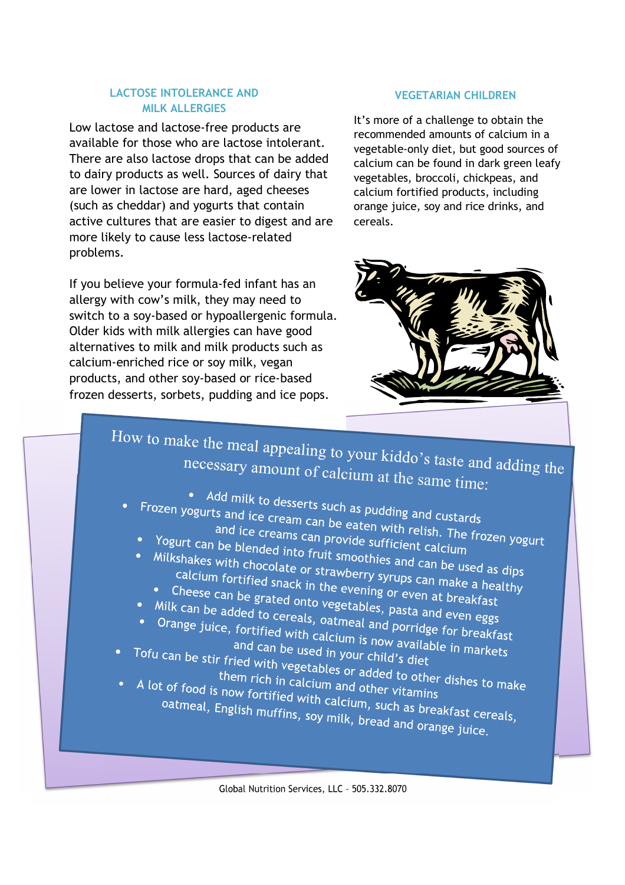#### **LACTOSE INTOLERANCE AND MILK ALLERGIES**

Low lactose and lactose-free products are available for those who are lactose intolerant. There are also lactose drops that can be added to dairy products as well. Sources of dairy that are lower in lactose are hard, aged cheeses (such as cheddar) and yogurts that contain active cultures that are easier to digest and are more likely to cause less lactose-related problems.

If you believe your formula-fed infant has an allergy with cow's milk, they may need to switch to a soy-based or hypoallergenic formula. Older kids with milk allergies can have good alternatives to milk and milk products such as calcium-enriched rice or soy milk, vegan products, and other soy-based or rice-based frozen desserts, sorbets, pudding and ice pops.

#### **VEGETARIAN CHILDREN**

It's more of a challenge to obtain the recommended amounts of calcium in a vegetable-only diet, but good sources of calcium can be found in dark green leafy vegetables, broccoli, chickpeas, and calcium fortified products, including orange juice, soy and rice drinks, and cereals.



## How to make the meal appealing to your kiddo's taste and adding the<br>necessary amount of calcium at the same time necessary amount of calcium at the same time:

- Add milk to desserts such as pudding and custards<br>"Ogurts and ice cream can be eaten with with the custards" Frozen yogurts and ice cream can be eaten with relish. The frozen yogurts and ice cream can be eaten with relish. The frozen yogurt<br>and ice creams can provide sufficient calcium<br>Yogurt can be blended into function
	- and ice cream can be eaten with relish. The<br>and ice creams can provide sufficient calcium
	- and Ice creams can provide sufficient calcium<br>Yogurt can be blended into fruit smoothies and can be used as dips<br>Milkshakes with chocolate or strawberry syrups can make in calcium fortified and can Milkshakes with chocolate or strawberry syrups can be used as dips<br>
	Milkshakes with chocolate or strawberry syrups can be used as dips<br>
	calcium fortified snack in the evening or even at broakfully<br>
	Cheese can be grated calcium fortified snack in the evening or even all be used as<br>Calcium fortified snack in the evening or even at breakfast<br>Cheese can be grated onto vegetables pasta serving to reakfast
		- Cheese can be grated onto vegetables, pasta and even easy can be added to cereals, oatmeal and portion of the<br>Ik can be added to cereals, oatmeal and portion of the same interests.
	-
	- Milk can be added to cereals, oatmeal and porridge for breakfast<br>• Milk can be added to cereals, oatmeal and porridge for breakfast<br>• Orange juice, fortified with calcium is now available in • Orange juice, fortified with calcium is now available for breakfast<br>Orange juice, fortified with calcium is now available for breakfast<br>Fofu can be stir fried with the used in your child's diet
- and can be used in your child's diet<br>ied with vegetables are used in thild's diet and can be used in your child's diet<br>Tofu can be stir fried with vegetables or added to other dishes to make<br>them rich in calcium and other vitamins<br>A lot of food is now fortified with
- them rich in calcium and other<br>in them rich in calcium and other vitamins<br>inow fortified with calcium them rich in calcium and other vitamins<br>A lot of food is now fortified with calcium, such as breakfast cereals,<br>oatmeal, English muffins, soy milk, bread and orange in the creats, patmeal, English muffins, soy milk, bread and orange juice.

Global Nutrition Services, LLC – 505.332.8070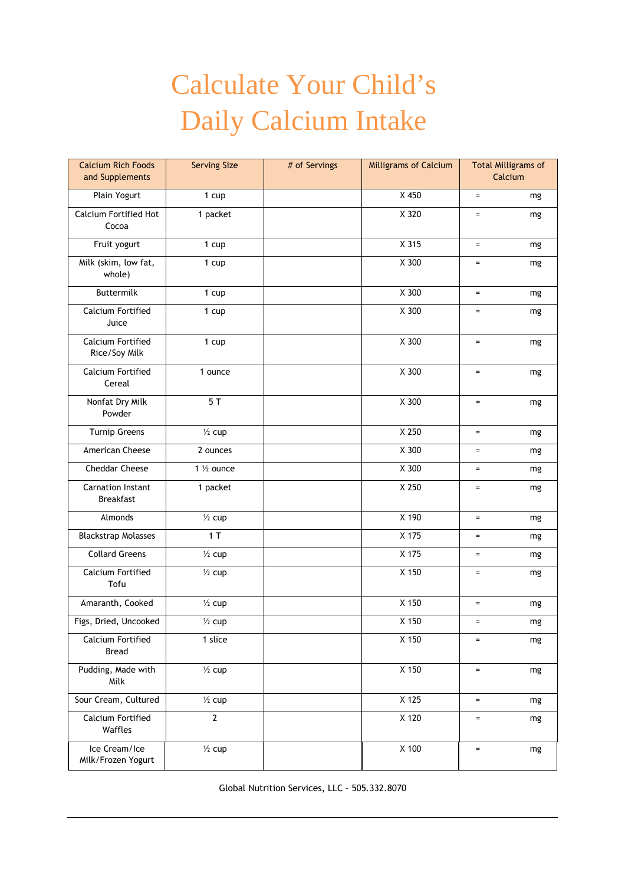## Calculate Your Child's Daily Calcium Intake

| <b>Calcium Rich Foods</b><br>and Supplements | <b>Serving Size</b> | # of Servings | <b>Milligrams of Calcium</b> | <b>Total Milligrams of</b><br>Calcium |    |
|----------------------------------------------|---------------------|---------------|------------------------------|---------------------------------------|----|
| Plain Yogurt                                 | 1 cup               |               | X 450                        | $\equiv$                              | mg |
| Calcium Fortified Hot<br>Cocoa               | 1 packet            |               | X 320                        | $\equiv$                              | mg |
| Fruit yogurt                                 | 1 cup               |               | X 315                        | $\equiv$                              | mg |
| Milk (skim, low fat,<br>whole)               | 1 cup               |               | X 300                        | $\equiv$                              | mg |
| Buttermilk                                   | 1 cup               |               | X 300                        | $=$                                   | mg |
| <b>Calcium Fortified</b><br>Juice            | 1 cup               |               | X 300                        | $\equiv$                              | mg |
| Calcium Fortified<br>Rice/Soy Milk           | 1 cup               |               | X 300                        | $\equiv$                              | mg |
| Calcium Fortified<br>Cereal                  | 1 ounce             |               | X 300                        | $\equiv$                              | mg |
| Nonfat Dry Milk<br>Powder                    | 5T                  |               | X 300                        | $\equiv$                              | mg |
| <b>Turnip Greens</b>                         | $\frac{1}{2}$ cup   |               | X 250                        | $\equiv$                              | mg |
| American Cheese                              | 2 ounces            |               | X 300                        | $=$                                   | mg |
| Cheddar Cheese                               | 1 1/2 ounce         |               | X 300                        | $=$                                   | mg |
| <b>Carnation Instant</b><br><b>Breakfast</b> | 1 packet            |               | X 250                        | $=$                                   | mg |
| Almonds                                      | $\frac{1}{2}$ cup   |               | X 190                        | $\quad =$                             | mg |
| <b>Blackstrap Molasses</b>                   | 1T                  |               | X 175                        | $=$                                   | mg |
| <b>Collard Greens</b>                        | $\frac{1}{2}$ cup   |               | X 175                        | $=$                                   | mg |
| Calcium Fortified<br>Tofu                    | $\frac{1}{2}$ cup   |               | X 150                        | $=$                                   | mg |
| Amaranth, Cooked                             | $\frac{1}{2}$ cup   |               | X 150                        | $\equiv$                              | mg |
| Figs, Dried, Uncooked                        | $\frac{1}{2}$ cup   |               | X 150                        | $=$                                   | mg |
| Calcium Fortified<br><b>Bread</b>            | 1 slice             |               | X 150                        | $\equiv$                              | mg |
| Pudding, Made with<br>Milk                   | $\frac{1}{2}$ cup   |               | X 150                        | $\equiv$                              | mg |
| Sour Cream, Cultured                         | $\frac{1}{2}$ cup   |               | X 125                        | $\equiv$                              | mg |
| Calcium Fortified<br>Waffles                 | $\overline{2}$      |               | X 120                        | $=$                                   | mg |
| Ice Cream/Ice<br>Milk/Frozen Yogurt          | $\frac{1}{2}$ cup   |               | X 100                        | $\equiv$                              | mg |

Global Nutrition Services, LLC – 505.332.8070